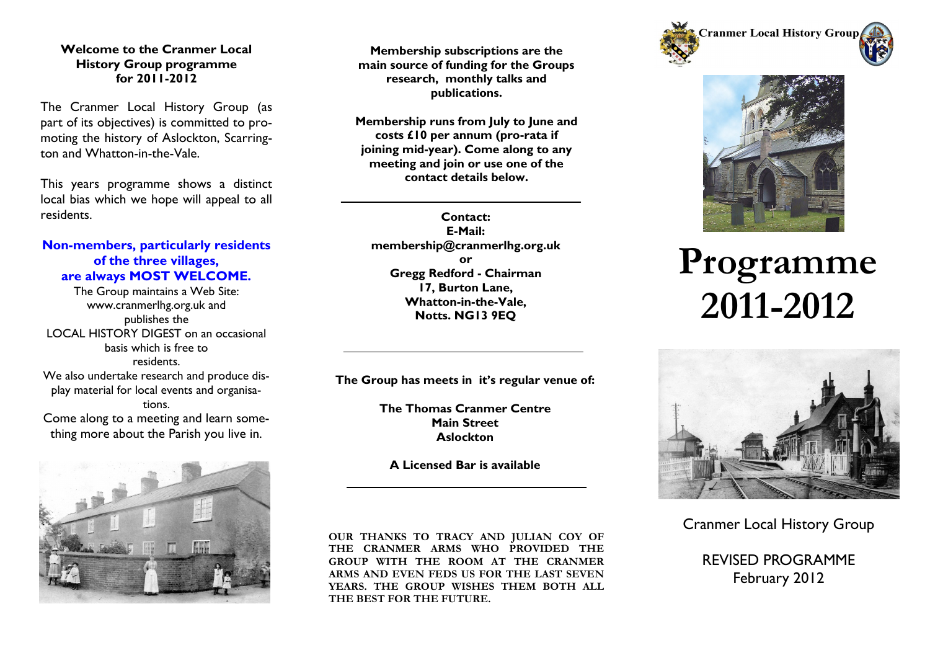#### **Welcome to the Cranmer Local History Group programme for 2011-2012**

The Cranmer Local History Group (as part of its objectives) is committed to promoting the history of Aslockton, Scarrington and Whatton-in-the-Vale.

This years programme shows a distinct local bias which we hope will appeal to all residents.

# **Non-members, particularly residents of the three villages, are always MOST WELCOME.**

The Group maintains a Web Site: www.cranmerlhg.org.uk and publishes the LOCAL HISTORY DIGEST on an occasional basis which is free to residents. We also undertake research and produce display material for local events and organisations. Come along to a meeting and learn something more about the Parish you live in.



**Membership subscriptions are the main source of funding for the Groups research, monthly talks and publications.**

**Membership runs from July to June and costs £10 per annum (pro-rata if joining mid-year). Come along to any meeting and join or use one of the contact details below.**

**Contact: E-Mail: membership@cranmerlhg.org.uk or Gregg Redford - Chairman 17, Burton Lane, Whatton-in-the-Vale, Notts. NG13 9EQ**

**The Group has meets in it's regular venue of:**

**The Thomas Cranmer Centre Main Street Aslockton**

**A Licensed Bar is available**

**OUR THANKS TO TRACY AND JULIAN COY OF THE CRANMER ARMS WHO PROVIDED THE GROUP WITH THE ROOM AT THE CRANMER ARMS AND EVEN FEDS US FOR THE LAST SEVEN YEARS. THE GROUP WISHES THEM BOTH ALL THE BEST FOR THE FUTURE.**





# **Programme 2011-2012**



Cranmer Local History Group

REVISED PROGRAMME February 2012